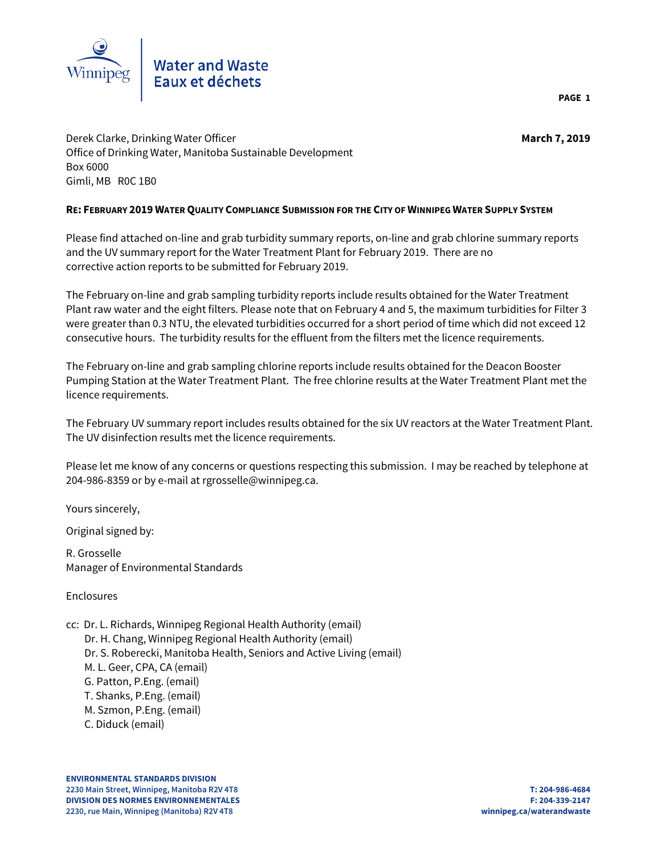

Derek Clarke, Drinking Water Officer **March 7, 2019** Office of Drinking Water, Manitoba Sustainable Development Box 6000 Gimli, MB R0C 1B0

## **RE: FEBRUARY 2019 WATER QUALITY COMPLIANCE SUBMISSION FOR THE CITY OF WINNIPEG WATER SUPPLY SYSTEM**

Please find attached on-line and grab turbidity summary reports, on-line and grab chlorine summary reports and the UV summary report for the Water Treatment Plant for February 2019. There are no corrective action reports to be submitted for February 2019.

The February on-line and grab sampling turbidity reports include results obtained for the Water Treatment Plant raw water and the eight filters. Please note that on February 4 and 5, the maximum turbidities for Filter 3 were greater than 0.3 NTU, the elevated turbidities occurred for a short period of time which did not exceed 12 consecutive hours. The turbidity results for the effluent from the filters met the licence requirements.

The February on-line and grab sampling chlorine reports include results obtained for the Deacon Booster Pumping Station at the Water Treatment Plant. The free chlorine results at the Water Treatment Plant met the licence requirements.

The February UV summary report includes results obtained for the six UV reactors at the Water Treatment Plant. The UV disinfection results met the licence requirements.

Please let me know of any concerns or questions respecting this submission. I may be reached by telephone at 204-986-8359 or by e-mail at rgrosselle@winnipeg.ca.

Yours sincerely,

Original signed by:

R. Grosselle Manager of Environmental Standards

Enclosures

- cc: Dr. L. Richards, Winnipeg Regional Health Authority (email)
- Dr. H. Chang, Winnipeg Regional Health Authority (email) Dr. S. Roberecki, Manitoba Health, Seniors and Active Living (email) M. L. Geer, CPA, CA (email) G. Patton, P.Eng. (email) T. Shanks, P.Eng. (email)
	- M. Szmon, P.Eng. (email)
	- C. Diduck (email)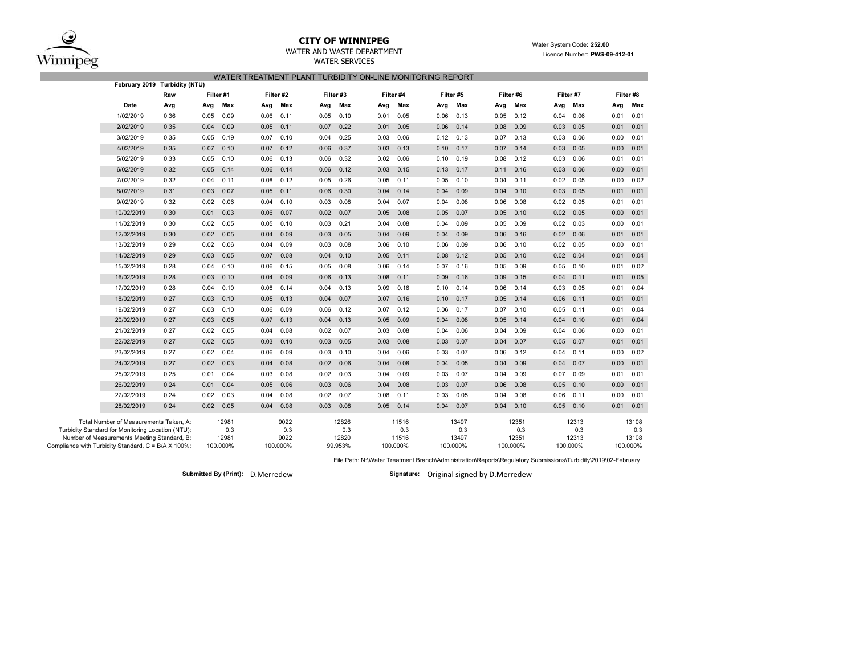$\bf{Q}$  $\widehat{\text{Winnipeg}}$ 

## **CITY OF WINNIPEG**

WATER AND WASTE DEPARTMENTWATER SERVICES

 Water System Code: **252.00** Licence Number: **PWS-09-412-01**

|                                                     | WATER TREATMENT PLANT TURBIDITY ON-LINE MONITORING REPORT<br>February 2019 Turbidity (NTU)                                                 |      |           |                       |      |                     |           |                       |      |                       |      |                       |           |                       |           |                       |      |                       |
|-----------------------------------------------------|--------------------------------------------------------------------------------------------------------------------------------------------|------|-----------|-----------------------|------|---------------------|-----------|-----------------------|------|-----------------------|------|-----------------------|-----------|-----------------------|-----------|-----------------------|------|-----------------------|
|                                                     |                                                                                                                                            |      |           |                       |      |                     |           |                       |      |                       |      |                       |           |                       |           |                       |      |                       |
|                                                     |                                                                                                                                            | Raw  | Filter #1 |                       |      | Filter #2           | Filter #3 |                       |      | Filter #4             |      | Filter #5             | Filter #6 |                       | Filter #7 |                       |      | Filter #8             |
|                                                     | Date                                                                                                                                       | Avg  | Avg       | Max                   | Avg  | Max                 | Avg       | Max                   | Avg  | Max                   | Avg  | Max                   | Avg       | Max                   | Avg       | Max                   | Avg  | Max                   |
|                                                     | 1/02/2019                                                                                                                                  | 0.36 | 0.05      | 0.09                  | 0.06 | 0.11                | 0.05      | 0.10                  | 0.01 | 0.05                  | 0.06 | 0.13                  | 0.05      | 0.12                  | 0.04      | 0.06                  | 0.01 | 0.01                  |
|                                                     | 2/02/2019                                                                                                                                  | 0.35 | 0.04      | 0.09                  | 0.05 | 0.11                | 0.07      | 0.22                  | 0.01 | 0.05                  | 0.06 | 0.14                  | 0.08      | 0.09                  | 0.03      | 0.05                  | 0.01 | 0.01                  |
|                                                     | 3/02/2019                                                                                                                                  | 0.35 | 0.05      | 0.19                  | 0.07 | 0.10                | 0.04      | 0.25                  | 0.03 | 0.06                  | 0.12 | 0.13                  | 0.07      | 0.13                  | 0.03      | 0.06                  | 0.00 | 0.01                  |
|                                                     | 4/02/2019                                                                                                                                  | 0.35 | 0.07      | 0.10                  | 0.07 | 0.12                | 0.06      | 0.37                  | 0.03 | 0.13                  | 0.10 | 0.17                  | 0.07      | 0.14                  | 0.03      | 0.05                  | 0.00 | 0.01                  |
|                                                     | 5/02/2019                                                                                                                                  | 0.33 | 0.05      | 0.10                  | 0.06 | 0.13                | 0.06      | 0.32                  | 0.02 | 0.06                  | 0.10 | 0.19                  | 0.08      | 0.12                  | 0.03      | 0.06                  | 0.01 | 0.01                  |
|                                                     | 6/02/2019                                                                                                                                  | 0.32 | 0.05      | 0.14                  | 0.06 | 0.14                | 0.06      | 0.12                  | 0.03 | 0.15                  | 0.13 | 0.17                  | 0.11      | 0.16                  | 0.03      | 0.06                  | 0.00 | 0.01                  |
|                                                     | 7/02/2019                                                                                                                                  | 0.32 | 0.04      | 0.11                  | 0.08 | 0.12                | 0.05      | 0.26                  | 0.05 | 0.11                  | 0.05 | 0.10                  | 0.04      | 0.11                  | 0.02      | 0.05                  | 0.00 | 0.02                  |
|                                                     | 8/02/2019                                                                                                                                  | 0.31 | 0.03      | 0.07                  | 0.05 | 0.11                | 0.06      | 0.30                  | 0.04 | 0.14                  | 0.04 | 0.09                  | 0.04      | 0.10                  | 0.03      | 0.05                  | 0.01 | 0.01                  |
|                                                     | 9/02/2019                                                                                                                                  | 0.32 | 0.02      | 0.06                  | 0.04 | 0.10                | 0.03      | 0.08                  | 0.04 | 0.07                  | 0.04 | 0.08                  | 0.06      | 0.08                  | 0.02      | 0.05                  | 0.01 | 0.01                  |
|                                                     | 10/02/2019                                                                                                                                 | 0.30 | 0.01      | 0.03                  | 0.06 | 0.07                | 0.02      | 0.07                  | 0.05 | 0.08                  | 0.05 | 0.07                  | 0.05      | 0.10                  | 0.02      | 0.05                  | 0.00 | 0.01                  |
|                                                     | 11/02/2019                                                                                                                                 | 0.30 | 0.02      | 0.05                  | 0.05 | 0.10                | 0.03      | 0.21                  | 0.04 | 0.08                  | 0.04 | 0.09                  | 0.05      | 0.09                  | 0.02      | 0.03                  | 0.00 | 0.01                  |
|                                                     | 12/02/2019                                                                                                                                 | 0.30 | 0.02      | 0.05                  | 0.04 | 0.09                | 0.03      | 0.05                  | 0.04 | 0.09                  | 0.04 | 0.09                  | 0.06      | 0.16                  | 0.02      | 0.06                  | 0.01 | 0.01                  |
|                                                     | 13/02/2019                                                                                                                                 | 0.29 | 0.02      | 0.06                  | 0.04 | 0.09                | 0.03      | 0.08                  | 0.06 | 0.10                  | 0.06 | 0.09                  | 0.06      | 0.10                  | 0.02      | 0.05                  | 0.00 | 0.01                  |
|                                                     | 14/02/2019                                                                                                                                 | 0.29 | 0.03      | 0.05                  | 0.07 | 0.08                | 0.04      | 0.10                  | 0.05 | 0.11                  | 0.08 | 0.12                  | 0.05      | 0.10                  | 0.02      | 0.04                  | 0.01 | 0.04                  |
|                                                     | 15/02/2019                                                                                                                                 | 0.28 | 0.04      | 0.10                  | 0.06 | 0.15                | 0.05      | 0.08                  | 0.06 | 0.14                  | 0.07 | 0.16                  | 0.05      | 0.09                  | 0.05      | 0.10                  | 0.01 | 0.02                  |
|                                                     | 16/02/2019                                                                                                                                 | 0.28 | 0.03      | 0.10                  | 0.04 | 0.09                | 0.06      | 0.13                  | 0.08 | 0.11                  | 0.09 | 0.16                  | 0.09      | 0.15                  | 0.04      | 0.11                  | 0.01 | 0.05                  |
|                                                     | 17/02/2019                                                                                                                                 | 0.28 | 0.04      | 0.10                  | 0.08 | 0.14                | 0.04      | 0.13                  | 0.09 | 0.16                  | 0.10 | 0.14                  | 0.06      | 0.14                  | 0.03      | 0.05                  | 0.01 | 0.04                  |
|                                                     | 18/02/2019                                                                                                                                 | 0.27 | 0.03      | 0.10                  | 0.05 | 0.13                | 0.04      | 0.07                  | 0.07 | 0.16                  | 0.10 | 0.17                  | 0.05      | 0.14                  | 0.06      | 0.11                  | 0.01 | 0.01                  |
|                                                     | 19/02/2019                                                                                                                                 | 0.27 | 0.03      | 0.10                  | 0.06 | 0.09                | 0.06      | 0.12                  | 0.07 | 0.12                  | 0.06 | 0.17                  | 0.07      | 0.10                  | 0.05      | 0.11                  | 0.01 | 0.04                  |
|                                                     | 20/02/2019                                                                                                                                 | 0.27 | 0.03      | 0.05                  | 0.07 | 0.13                | 0.04      | 0.13                  | 0.05 | 0.09                  | 0.04 | 0.08                  | 0.05      | 0.14                  | 0.04      | 0.10                  | 0.01 | 0.04                  |
|                                                     | 21/02/2019                                                                                                                                 | 0.27 | 0.02      | 0.05                  | 0.04 | 0.08                | 0.02      | 0.07                  | 0.03 | 0.08                  | 0.04 | 0.06                  | 0.04      | 0.09                  | 0.04      | 0.06                  | 0.00 | 0.01                  |
|                                                     | 22/02/2019                                                                                                                                 | 0.27 | 0.02      | 0.05                  | 0.03 | 0.10                | 0.03      | 0.05                  | 0.03 | 0.08                  | 0.03 | 0.07                  | 0.04      | 0.07                  | 0.05      | 0.07                  | 0.01 | 0.01                  |
|                                                     | 23/02/2019                                                                                                                                 | 0.27 | 0.02      | 0.04                  | 0.06 | 0.09                | 0.03      | 0.10                  | 0.04 | 0.06                  | 0.03 | 0.07                  | 0.06      | 0.12                  | 0.04      | 0.11                  | 0.00 | 0.02                  |
|                                                     | 24/02/2019                                                                                                                                 | 0.27 | 0.02      | 0.03                  | 0.04 | 0.08                | 0.02      | 0.06                  | 0.04 | 0.08                  | 0.04 | 0.05                  | 0.04      | 0.09                  | 0.04      | 0.07                  | 0.00 | 0.01                  |
|                                                     | 25/02/2019                                                                                                                                 | 0.25 | 0.01      | 0.04                  | 0.03 | 0.08                | 0.02      | 0.03                  | 0.04 | 0.09                  | 0.03 | 0.07                  | 0.04      | 0.09                  | 0.07      | 0.09                  | 0.01 | 0.01                  |
|                                                     | 26/02/2019                                                                                                                                 | 0.24 | 0.01      | 0.04                  | 0.05 | 0.06                | 0.03      | 0.06                  | 0.04 | 0.08                  | 0.03 | 0.07                  | 0.06      | 0.08                  | 0.05      | 0.10                  | 0.00 | 0.01                  |
|                                                     | 27/02/2019                                                                                                                                 | 0.24 | 0.02      | 0.03                  | 0.04 | 0.08                | 0.02      | 0.07                  | 0.08 | 0.11                  | 0.03 | 0.05                  | 0.04      | 0.08                  | 0.06      | 0.11                  | 0.00 | 0.01                  |
|                                                     | 28/02/2019                                                                                                                                 | 0.24 | 0.02      | 0.05                  | 0.04 | 0.08                | 0.03      | 0.08                  | 0.05 | 0.14                  | 0.04 | 0.07                  | 0.04      | 0.10                  | 0.05      | 0.10                  | 0.01 | 0.01                  |
|                                                     | Total Number of Measurements Taken, A:<br>Turbidity Standard for Monitoring Location (NTU):<br>Number of Measurements Meeting Standard, B: |      |           | 12981<br>0.3<br>12981 |      | 9022<br>0.3<br>9022 |           | 12826<br>0.3<br>12820 |      | 11516<br>0.3<br>11516 |      | 13497<br>0.3<br>13497 |           | 12351<br>0.3<br>12351 |           | 12313<br>0.3<br>12313 |      | 13108<br>0.3<br>13108 |
| Compliance with Turbidity Standard, C = B/A X 100%: |                                                                                                                                            |      |           | 100.000%              |      | 100.000%            |           | 99.953%               |      | 100.000%              |      | 100.000%              |           | 100.000%              |           | 100.000%              |      | 100.000%              |

File Path: N:\Water Treatment Branch\Administration\Reports\Regulatory Submissions\Turbidity\2019\02-February

**Submitted By (Print): D.Merredew** 

Signature: Original signed by D.Merredew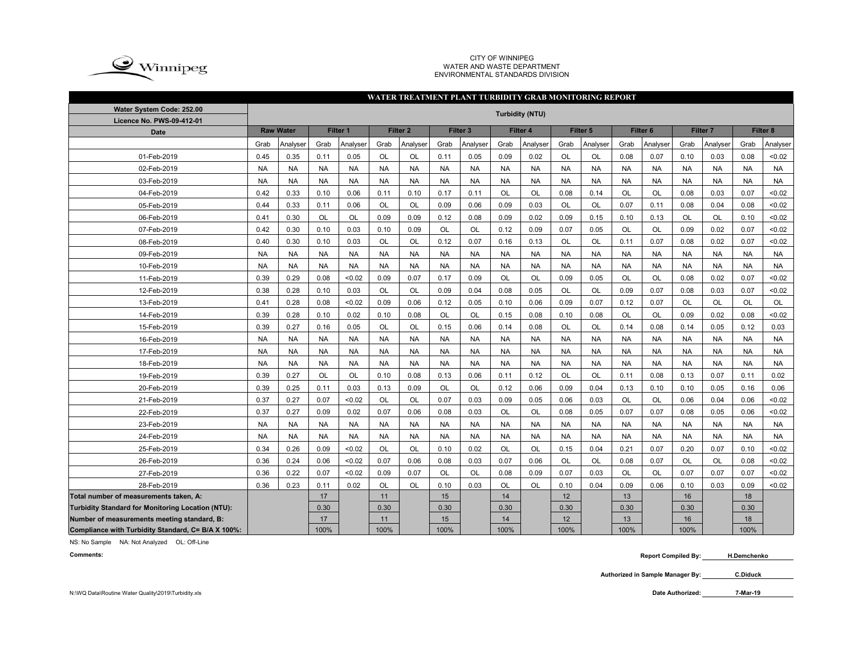

CITY OF WINNIPEG WATER AND WASTE DEPARTMENTENVIRONMENTAL STANDARDS DIVISION

## **WATER TREATMENT PLANT TURBIDITY GRAB MONITORING REPORT**

| Water System Code: 252.00                          | <b>Turbidity (NTU)</b> |           |           |           |           |                     |           |                     |           |           |           |           |                     |           |                     |           |           |           |
|----------------------------------------------------|------------------------|-----------|-----------|-----------|-----------|---------------------|-----------|---------------------|-----------|-----------|-----------|-----------|---------------------|-----------|---------------------|-----------|-----------|-----------|
| Licence No. PWS-09-412-01                          |                        |           |           |           |           |                     |           |                     |           |           |           |           |                     |           |                     |           |           |           |
| <b>Date</b>                                        | <b>Raw Water</b>       |           |           | Filter 1  |           | Filter <sub>2</sub> |           | Filter <sub>3</sub> |           | Filter 4  |           | Filter 5  | Filter <sub>6</sub> |           | Filter <sub>7</sub> |           |           | Filter 8  |
|                                                    | Grab                   | Analyser  | Grab      | Analyser  | Grab      | Analyser            | Grab      | Analyser            | Grab      | Analyser  | Grab      | Analyser  | Grab                | Analyser  | Grab                | Analyser  | Grab      | Analyser  |
| 01-Feb-2019                                        | 0.45                   | 0.35      | 0.11      | 0.05      | OL        | OL                  | 0.11      | 0.05                | 0.09      | 0.02      | OL        | OL        | 0.08                | 0.07      | 0.10                | 0.03      | 0.08      | < 0.02    |
| 02-Feb-2019                                        | <b>NA</b>              | <b>NA</b> | <b>NA</b> | <b>NA</b> | <b>NA</b> | <b>NA</b>           | <b>NA</b> | <b>NA</b>           | <b>NA</b> | <b>NA</b> | <b>NA</b> | <b>NA</b> | <b>NA</b>           | <b>NA</b> | <b>NA</b>           | <b>NA</b> | <b>NA</b> | <b>NA</b> |
| 03-Feb-2019                                        | <b>NA</b>              | <b>NA</b> | <b>NA</b> | <b>NA</b> | <b>NA</b> | <b>NA</b>           | <b>NA</b> | <b>NA</b>           | <b>NA</b> | <b>NA</b> | <b>NA</b> | <b>NA</b> | <b>NA</b>           | <b>NA</b> | <b>NA</b>           | <b>NA</b> | <b>NA</b> | <b>NA</b> |
| 04-Feb-2019                                        | 0.42                   | 0.33      | 0.10      | 0.06      | 0.11      | 0.10                | 0.17      | 0.11                | <b>OL</b> | OL        | 0.08      | 0.14      | OL                  | <b>OL</b> | 0.08                | 0.03      | 0.07      | < 0.02    |
| 05-Feb-2019                                        | 0.44                   | 0.33      | 0.11      | 0.06      | OL        | <b>OL</b>           | 0.09      | 0.06                | 0.09      | 0.03      | <b>OL</b> | OL        | 0.07                | 0.11      | 0.08                | 0.04      | 0.08      | < 0.02    |
| 06-Feb-2019                                        | 0.41                   | 0.30      | OL        | OL        | 0.09      | 0.09                | 0.12      | 0.08                | 0.09      | 0.02      | 0.09      | 0.15      | 0.10                | 0.13      | OL                  | OL        | 0.10      | < 0.02    |
| 07-Feb-2019                                        | 0.42                   | 0.30      | 0.10      | 0.03      | 0.10      | 0.09                | OL        | OL                  | 0.12      | 0.09      | 0.07      | 0.05      | OL                  | OL        | 0.09                | 0.02      | 0.07      | < 0.02    |
| 08-Feb-2019                                        | 0.40                   | 0.30      | 0.10      | 0.03      | OL        | <b>OL</b>           | 0.12      | 0.07                | 0.16      | 0.13      | <b>OL</b> | OL        | 0.11                | 0.07      | 0.08                | 0.02      | 0.07      | < 0.02    |
| 09-Feb-2019                                        | <b>NA</b>              | <b>NA</b> | <b>NA</b> | <b>NA</b> | <b>NA</b> | <b>NA</b>           | <b>NA</b> | <b>NA</b>           | <b>NA</b> | <b>NA</b> | <b>NA</b> | <b>NA</b> | <b>NA</b>           | <b>NA</b> | <b>NA</b>           | <b>NA</b> | <b>NA</b> | <b>NA</b> |
| 10-Feb-2019                                        | <b>NA</b>              | <b>NA</b> | <b>NA</b> | <b>NA</b> | <b>NA</b> | <b>NA</b>           | <b>NA</b> | <b>NA</b>           | <b>NA</b> | <b>NA</b> | <b>NA</b> | <b>NA</b> | <b>NA</b>           | <b>NA</b> | <b>NA</b>           | <b>NA</b> | <b>NA</b> | <b>NA</b> |
| 11-Feb-2019                                        | 0.39                   | 0.29      | 0.08      | <0.02     | 0.09      | 0.07                | 0.17      | 0.09                | OL        | OL        | 0.09      | 0.05      | OL                  | OL        | 0.08                | 0.02      | 0.07      | < 0.02    |
| 12-Feb-2019                                        | 0.38                   | 0.28      | 0.10      | 0.03      | OL        | OL                  | 0.09      | 0.04                | 0.08      | 0.05      | <b>OL</b> | OL        | 0.09                | 0.07      | 0.08                | 0.03      | 0.07      | < 0.02    |
| 13-Feb-2019                                        | 0.41                   | 0.28      | 0.08      | <0.02     | 0.09      | 0.06                | 0.12      | 0.05                | 0.10      | 0.06      | 0.09      | 0.07      | 0.12                | 0.07      | OL                  | OL        | OL        | OL        |
| 14-Feb-2019                                        | 0.39                   | 0.28      | 0.10      | 0.02      | 0.10      | 0.08                | <b>OL</b> | OL                  | 0.15      | 0.08      | 0.10      | 0.08      | OL                  | OL        | 0.09                | 0.02      | 0.08      | < 0.02    |
| 15-Feb-2019                                        | 0.39                   | 0.27      | 0.16      | 0.05      | OL        | OL                  | 0.15      | 0.06                | 0.14      | 0.08      | OL        | OL        | 0.14                | 0.08      | 0.14                | 0.05      | 0.12      | 0.03      |
| 16-Feb-2019                                        | <b>NA</b>              | <b>NA</b> | <b>NA</b> | <b>NA</b> | <b>NA</b> | <b>NA</b>           | <b>NA</b> | <b>NA</b>           | <b>NA</b> | <b>NA</b> | <b>NA</b> | <b>NA</b> | <b>NA</b>           | <b>NA</b> | <b>NA</b>           | <b>NA</b> | <b>NA</b> | <b>NA</b> |
| 17-Feb-2019                                        | <b>NA</b>              | <b>NA</b> | <b>NA</b> | <b>NA</b> | <b>NA</b> | <b>NA</b>           | <b>NA</b> | <b>NA</b>           | <b>NA</b> | <b>NA</b> | <b>NA</b> | <b>NA</b> | <b>NA</b>           | <b>NA</b> | <b>NA</b>           | <b>NA</b> | <b>NA</b> | <b>NA</b> |
| 18-Feb-2019                                        | <b>NA</b>              | <b>NA</b> | <b>NA</b> | <b>NA</b> | <b>NA</b> | <b>NA</b>           | <b>NA</b> | <b>NA</b>           | <b>NA</b> | <b>NA</b> | <b>NA</b> | <b>NA</b> | <b>NA</b>           | <b>NA</b> | <b>NA</b>           | <b>NA</b> | <b>NA</b> | <b>NA</b> |
| 19-Feb-2019                                        | 0.39                   | 0.27      | <b>OL</b> | <b>OL</b> | 0.10      | 0.08                | 0.13      | 0.06                | 0.11      | 0.12      | <b>OL</b> | <b>OL</b> | 0.11                | 0.08      | 0.13                | 0.07      | 0.11      | 0.02      |
| 20-Feb-2019                                        | 0.39                   | 0.25      | 0.11      | 0.03      | 0.13      | 0.09                | <b>OL</b> | <b>OL</b>           | 0.12      | 0.06      | 0.09      | 0.04      | 0.13                | 0.10      | 0.10                | 0.05      | 0.16      | 0.06      |
| 21-Feb-2019                                        | 0.37                   | 0.27      | 0.07      | < 0.02    | <b>OL</b> | <b>OL</b>           | 0.07      | 0.03                | 0.09      | 0.05      | 0.06      | 0.03      | <b>OL</b>           | <b>OL</b> | 0.06                | 0.04      | 0.06      | < 0.02    |
| 22-Feb-2019                                        | 0.37                   | 0.27      | 0.09      | 0.02      | 0.07      | 0.06                | 0.08      | 0.03                | OL        | OL        | 0.08      | 0.05      | 0.07                | 0.07      | 0.08                | 0.05      | 0.06      | < 0.02    |
| 23-Feb-2019                                        | <b>NA</b>              | <b>NA</b> | <b>NA</b> | <b>NA</b> | <b>NA</b> | <b>NA</b>           | <b>NA</b> | <b>NA</b>           | <b>NA</b> | <b>NA</b> | <b>NA</b> | <b>NA</b> | <b>NA</b>           | <b>NA</b> | <b>NA</b>           | <b>NA</b> | <b>NA</b> | <b>NA</b> |
| 24-Feb-2019                                        | <b>NA</b>              | <b>NA</b> | <b>NA</b> | <b>NA</b> | <b>NA</b> | <b>NA</b>           | <b>NA</b> | <b>NA</b>           | <b>NA</b> | <b>NA</b> | <b>NA</b> | <b>NA</b> | <b>NA</b>           | <b>NA</b> | <b>NA</b>           | <b>NA</b> | <b>NA</b> | <b>NA</b> |
| 25-Feb-2019                                        | 0.34                   | 0.26      | 0.09      | < 0.02    | <b>OL</b> | <b>OL</b>           | 0.10      | 0.02                | <b>OL</b> | <b>OL</b> | 0.15      | 0.04      | 0.21                | 0.07      | 0.20                | 0.07      | 0.10      | < 0.02    |
| 26-Feb-2019                                        | 0.36                   | 0.24      | 0.06      | < 0.02    | 0.07      | 0.06                | 0.08      | 0.03                | 0.07      | 0.06      | <b>OL</b> | <b>OL</b> | 0.08                | 0.07      | <b>OL</b>           | <b>OL</b> | 0.08      | < 0.02    |
| 27-Feb-2019                                        | 0.36                   | 0.22      | 0.07      | <0.02     | 0.09      | 0.07                | OL        | OL                  | 0.08      | 0.09      | 0.07      | 0.03      | OL                  | <b>OL</b> | 0.07                | 0.07      | 0.07      | < 0.02    |
| 28-Feb-2019                                        | 0.36                   | 0.23      | 0.11      | 0.02      | OL        | <b>OL</b>           | 0.10      | 0.03                | <b>OL</b> | <b>OL</b> | 0.10      | 0.04      | 0.09                | 0.06      | 0.10                | 0.03      | 0.09      | < 0.02    |
| Total number of measurements taken, A:             |                        |           | 17        |           | 11        |                     | 15        |                     | 14        |           | 12        |           | 13                  |           | 16                  |           | 18        |           |
| Turbidity Standard for Monitoring Location (NTU):  |                        |           | 0.30      |           | 0.30      |                     | 0.30      |                     | 0.30      |           | 0.30      |           | 0.30                |           | 0.30                |           | 0.30      |           |
| Number of measurements meeting standard, B:        |                        |           | 17        |           | 11        |                     | 15        |                     | 14        |           | 12        |           | 13                  |           | 16                  |           | 18        |           |
| Compliance with Turbidity Standard, C= B/A X 100%: |                        |           | 100%      |           | 100%      |                     | 100%      |                     | 100%      |           | 100%      |           | 100%                |           | 100%                |           | 100%      |           |

NS: No Sample NA: Not Analyzed OL: Off-Line

**Comments:**

 **Report Compiled By: H.Demchenko**

**Authorized in Sample Manager By: C.Diduck**

**7-Mar-19**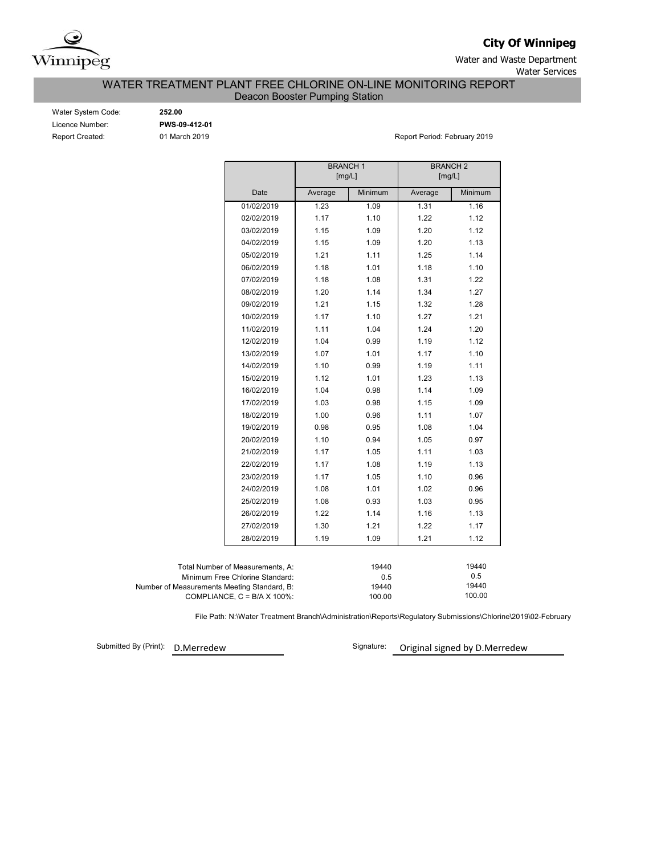

**City Of Winnipeg**

Water and Waste Department Water Services

WATER TREATMENT PLANT FREE CHLORINE ON-LINE MONITORING REPORT

Deacon Booster Pumping Station

| Water System Code:     |
|------------------------|
| Licence Number:        |
| <b>Report Created:</b> |

Water System Code: **252.00** Licence Number: **PWS-09-412-01**

01 March 2019 **Report Period: February 2019** 

|                                             |                                      | <b>BRANCH1</b><br>[mg/L]           |         | <b>BRANCH 2</b><br>[mg/L] |         |  |  |  |  |  |
|---------------------------------------------|--------------------------------------|------------------------------------|---------|---------------------------|---------|--|--|--|--|--|
|                                             | Date                                 | Average                            | Minimum | Average                   | Minimum |  |  |  |  |  |
|                                             | 01/02/2019                           | 1.23                               | 1.09    | 1.31                      | 1.16    |  |  |  |  |  |
|                                             | 02/02/2019                           | 1.17                               | 1.10    | 1.22                      | 1.12    |  |  |  |  |  |
|                                             | 03/02/2019                           | 1.15                               | 1.09    | 1.20                      | 1.12    |  |  |  |  |  |
|                                             | 04/02/2019                           | 1.15                               | 1.09    | 1.20                      | 1.13    |  |  |  |  |  |
|                                             | 05/02/2019                           | 1.21                               | 1.11    | 1.25                      | 1.14    |  |  |  |  |  |
|                                             | 06/02/2019                           | 1.18                               | 1.01    | 1.18                      | 1.10    |  |  |  |  |  |
|                                             | 07/02/2019                           | 1.18                               | 1.08    | 1.31                      | 1.22    |  |  |  |  |  |
|                                             | 08/02/2019                           | 1.20                               | 1.14    | 1.34                      | 1.27    |  |  |  |  |  |
|                                             | 09/02/2019                           | 1.21                               | 1.15    | 1.32                      | 1.28    |  |  |  |  |  |
|                                             | 10/02/2019                           | 1.17                               | 1.10    | 1.27                      | 1.21    |  |  |  |  |  |
|                                             | 11/02/2019                           | 1.11                               | 1.04    | 1.24                      | 1.20    |  |  |  |  |  |
|                                             | 12/02/2019                           | 1.04                               | 0.99    | 1.19                      | 1.12    |  |  |  |  |  |
|                                             | 13/02/2019                           | 1.07                               | 1.01    | 1.17                      | 1.10    |  |  |  |  |  |
|                                             | 14/02/2019                           | 1.10                               | 0.99    | 1.19                      | 1.11    |  |  |  |  |  |
|                                             | 15/02/2019                           | 1.12                               | 1.01    | 1.23                      | 1.13    |  |  |  |  |  |
|                                             | 16/02/2019                           | 1.04                               | 0.98    | 1.14                      | 1.09    |  |  |  |  |  |
|                                             | 17/02/2019                           | 1.03                               | 0.98    | 1.15                      | 1.09    |  |  |  |  |  |
|                                             | 18/02/2019                           | 1.00                               | 0.96    | 1.11                      | 1.07    |  |  |  |  |  |
|                                             | 19/02/2019                           | 0.98                               | 0.95    | 1.08                      | 1.04    |  |  |  |  |  |
|                                             | 20/02/2019                           | 1.10                               | 0.94    | 1.05                      | 0.97    |  |  |  |  |  |
|                                             | 21/02/2019                           | 1.17                               | 1.05    | 1.11                      | 1.03    |  |  |  |  |  |
|                                             | 22/02/2019                           | 1.17                               | 1.08    | 1.19                      | 1.13    |  |  |  |  |  |
|                                             | 23/02/2019                           | 1.17                               | 1.05    | 1.10                      | 0.96    |  |  |  |  |  |
|                                             | 24/02/2019                           | 1.08                               | 1.01    | 1.02                      | 0.96    |  |  |  |  |  |
|                                             | 25/02/2019                           | 1.08                               | 0.93    | 1.03                      | 0.95    |  |  |  |  |  |
|                                             | 26/02/2019                           | 1.22                               | 1.14    | 1.16                      | 1.13    |  |  |  |  |  |
|                                             | 27/02/2019                           | 1.30                               | 1.21    | 1.22                      | 1.17    |  |  |  |  |  |
|                                             | 28/02/2019                           | 1.19                               | 1.09    | 1.21                      | 1.12    |  |  |  |  |  |
|                                             |                                      |                                    |         |                           |         |  |  |  |  |  |
|                                             | Total Number of Measurements, A:     |                                    | 19440   |                           | 19440   |  |  |  |  |  |
|                                             | Minimum Free Chlorine Standard:      |                                    | 0.5     |                           |         |  |  |  |  |  |
| Number of Measurements Meeting Standard, B: | COMPLIANCE, $C = B/A \times 100\%$ : | 19440<br>19440<br>100.00<br>100.00 |         |                           |         |  |  |  |  |  |

File Path: N:\Water Treatment Branch\Administration\Reports\Regulatory Submissions\Chlorine\2019\02-February

Submitted By (Print):

D.Merredew Signature: Original signed by D.Merredew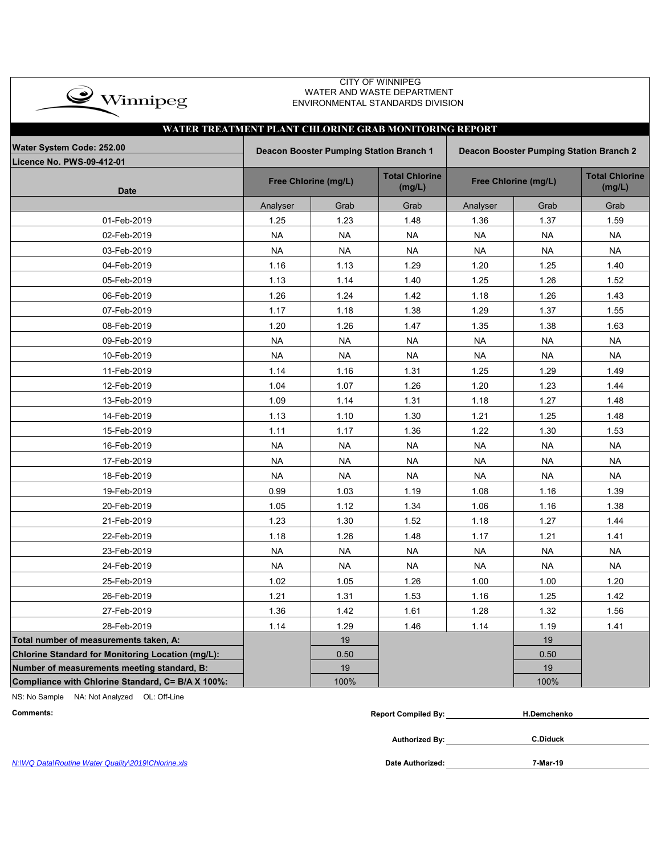| $\rightarrow$ Winnipeg                                 | <b>CITY OF WINNIPEG</b><br>WATER AND WASTE DEPARTMENT<br>ENVIRONMENTAL STANDARDS DIVISION |                                         |                                 |                                         |                      |                                 |  |  |  |  |  |  |  |
|--------------------------------------------------------|-------------------------------------------------------------------------------------------|-----------------------------------------|---------------------------------|-----------------------------------------|----------------------|---------------------------------|--|--|--|--|--|--|--|
|                                                        | WATER TREATMENT PLANT CHLORINE GRAB MONITORING REPORT                                     |                                         |                                 |                                         |                      |                                 |  |  |  |  |  |  |  |
| Water System Code: 252.00<br>Licence No. PWS-09-412-01 |                                                                                           | Deacon Booster Pumping Station Branch 1 |                                 | Deacon Booster Pumping Station Branch 2 |                      |                                 |  |  |  |  |  |  |  |
| <b>Date</b>                                            |                                                                                           | Free Chlorine (mg/L)                    | <b>Total Chlorine</b><br>(mg/L) |                                         | Free Chlorine (mg/L) | <b>Total Chlorine</b><br>(mg/L) |  |  |  |  |  |  |  |
|                                                        | Analyser                                                                                  | Grab                                    | Grab                            | Analyser                                | Grab                 | Grab                            |  |  |  |  |  |  |  |
| 01-Feb-2019                                            | 1.25                                                                                      | 1.23                                    | 1.48                            | 1.36                                    | 1.37                 | 1.59                            |  |  |  |  |  |  |  |
| 02-Feb-2019                                            | <b>NA</b>                                                                                 | <b>NA</b>                               | <b>NA</b>                       | <b>NA</b>                               | <b>NA</b>            | <b>NA</b>                       |  |  |  |  |  |  |  |
| 03-Feb-2019                                            | <b>NA</b>                                                                                 | <b>NA</b>                               | <b>NA</b>                       | <b>NA</b>                               | <b>NA</b>            | <b>NA</b>                       |  |  |  |  |  |  |  |
| 04-Feb-2019                                            | 1.16                                                                                      | 1.13                                    | 1.29                            | 1.20                                    | 1.25                 | 1.40                            |  |  |  |  |  |  |  |
| 05-Feb-2019                                            | 1.13                                                                                      | 1.14                                    | 1.40                            | 1.25                                    | 1.26                 | 1.52                            |  |  |  |  |  |  |  |
| 06-Feb-2019                                            | 1.26                                                                                      | 1.24                                    | 1.42                            | 1.18                                    | 1.26                 | 1.43                            |  |  |  |  |  |  |  |
| 07-Feb-2019                                            | 1.17                                                                                      | 1.18                                    | 1.38                            | 1.29                                    | 1.37                 | 1.55                            |  |  |  |  |  |  |  |
| 08-Feb-2019                                            | 1.20                                                                                      | 1.26                                    | 1.47                            | 1.35                                    | 1.38                 | 1.63                            |  |  |  |  |  |  |  |
| 09-Feb-2019                                            | <b>NA</b>                                                                                 | <b>NA</b>                               | <b>NA</b>                       | <b>NA</b>                               | <b>NA</b>            | <b>NA</b>                       |  |  |  |  |  |  |  |
| 10-Feb-2019                                            | <b>NA</b>                                                                                 | NA                                      | <b>NA</b>                       | <b>NA</b>                               | <b>NA</b>            | <b>NA</b>                       |  |  |  |  |  |  |  |
| 11-Feb-2019                                            | 1.14                                                                                      | 1.16                                    | 1.31                            | 1.25                                    | 1.29                 | 1.49                            |  |  |  |  |  |  |  |
| 12-Feb-2019                                            | 1.04                                                                                      | 1.07                                    | 1.26                            | 1.20                                    | 1.23                 | 1.44                            |  |  |  |  |  |  |  |
| 13-Feb-2019                                            | 1.09                                                                                      | 1.14                                    | 1.31                            | 1.18                                    | 1.27                 | 1.48                            |  |  |  |  |  |  |  |
| 14-Feb-2019                                            | 1.13                                                                                      | 1.10                                    | 1.30                            | 1.21                                    | 1.25                 | 1.48                            |  |  |  |  |  |  |  |
| 15-Feb-2019                                            | 1.11                                                                                      | 1.17                                    | 1.36                            | 1.22                                    | 1.30                 | 1.53                            |  |  |  |  |  |  |  |
| 16-Feb-2019                                            | <b>NA</b>                                                                                 | NA                                      | <b>NA</b>                       | NA                                      | <b>NA</b>            | <b>NA</b>                       |  |  |  |  |  |  |  |
| 17-Feb-2019                                            | <b>NA</b>                                                                                 | <b>NA</b>                               | <b>NA</b>                       | <b>NA</b>                               | <b>NA</b>            | <b>NA</b>                       |  |  |  |  |  |  |  |
| 18-Feb-2019                                            | <b>NA</b>                                                                                 | <b>NA</b>                               | <b>NA</b>                       | <b>NA</b>                               | <b>NA</b>            | <b>NA</b>                       |  |  |  |  |  |  |  |
| 19-Feb-2019                                            | 0.99                                                                                      | 1.03                                    | 1.19                            | 1.08                                    | 1.16                 | 1.39                            |  |  |  |  |  |  |  |
| 20-Feb-2019                                            | 1.05                                                                                      | 1.12                                    | 1.34                            | 1.06                                    | 1.16                 | 1.38                            |  |  |  |  |  |  |  |
| 21-Feb-2019                                            | 1.23                                                                                      | 1.30                                    | 1.52                            | 1.18                                    | 1.27                 | 1.44                            |  |  |  |  |  |  |  |
| 22-Feb-2019                                            | 1.18                                                                                      | 1.26                                    | 1.48                            | 1.17                                    | 1.21                 | 1.41                            |  |  |  |  |  |  |  |
| 23-Feb-2019                                            | <b>NA</b>                                                                                 | <b>NA</b>                               | <b>NA</b>                       | <b>NA</b>                               | <b>NA</b>            | <b>NA</b>                       |  |  |  |  |  |  |  |
| 24-Feb-2019                                            | <b>NA</b>                                                                                 | <b>NA</b>                               | <b>NA</b>                       | <b>NA</b>                               | <b>NA</b>            | <b>NA</b>                       |  |  |  |  |  |  |  |
| 25-Feb-2019                                            | 1.02                                                                                      | 1.05                                    | 1.26                            | 1.00                                    | 1.00                 | 1.20                            |  |  |  |  |  |  |  |
| 26-Feb-2019                                            | 1.21                                                                                      | 1.31                                    | 1.53                            | 1.16                                    | 1.25                 | 1.42                            |  |  |  |  |  |  |  |
| 27-Feb-2019                                            | 1.36                                                                                      | 1.42                                    | 1.61                            | 1.28                                    | 1.32                 | 1.56                            |  |  |  |  |  |  |  |
| 28-Feb-2019                                            | 1.14                                                                                      | 1.29                                    | 1.46                            | 1.14                                    | 1.19                 | 1.41                            |  |  |  |  |  |  |  |
| Total number of measurements taken, A:                 |                                                                                           | 19                                      |                                 |                                         | 19                   |                                 |  |  |  |  |  |  |  |
| Chlorine Standard for Monitoring Location (mg/L):      |                                                                                           | 0.50                                    |                                 |                                         | 0.50                 |                                 |  |  |  |  |  |  |  |
| Number of measurements meeting standard, B:            |                                                                                           | 19                                      |                                 |                                         | 19                   |                                 |  |  |  |  |  |  |  |
| Compliance with Chlorine Standard, C= B/A X 100%:      |                                                                                           | 100%                                    |                                 |                                         | 100%                 |                                 |  |  |  |  |  |  |  |

NS: No Sample NA: Not Analyzed OL: Off-Line

| Comments:                                          | <b>Report Compiled By:</b> | <b>H.Demchenko</b> |
|----------------------------------------------------|----------------------------|--------------------|
|                                                    | Authorized By:             | <b>C.Diduck</b>    |
| N:\WQ Data\Routine Water Quality\2019\Chlorine.xls | Date Authorized:           | 7-Mar-19           |

*N:\WQ Data\Routine Water Quality\2019\Chlorine.xls*